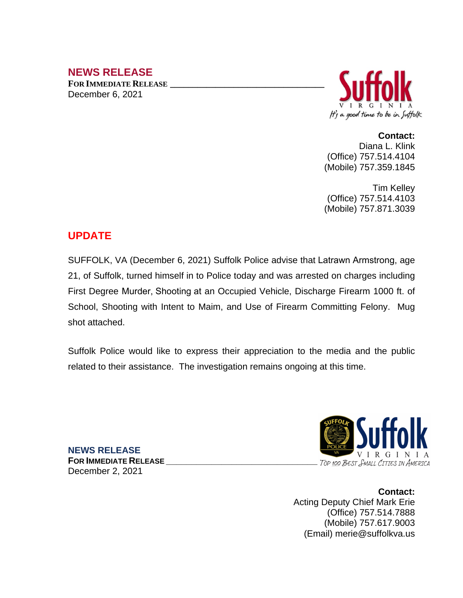# **NEWS RELEASE**

**FOR IMMEDIATE RELEASE \_\_\_\_\_\_\_\_\_\_\_\_\_\_\_\_\_\_\_\_\_\_\_\_\_\_\_\_\_\_\_\_\_\_** December 6, 2021



**Contact:**

 Diana L. Klink (Office) 757.514.4104 (Mobile) 757.359.1845

Tim Kelley (Office) 757.514.4103 (Mobile) 757.871.3039

## **UPDATE**

SUFFOLK, VA (December 6, 2021) Suffolk Police advise that Latrawn Armstrong, age 21, of Suffolk, turned himself in to Police today and was arrested on charges including First Degree Murder, Shooting at an Occupied Vehicle, Discharge Firearm 1000 ft. of School, Shooting with Intent to Maim, and Use of Firearm Committing Felony. Mug shot attached.

Suffolk Police would like to express their appreciation to the media and the public related to their assistance. The investigation remains ongoing at this time.



 $F$ OR **IMMEDIATE RELEASE** December 2, 2021

**NEWS RELEASE**

**Contact:** Acting Deputy Chief Mark Erie (Office) 757.514.7888 (Mobile) 757.617.9003 (Email) merie@suffolkva.us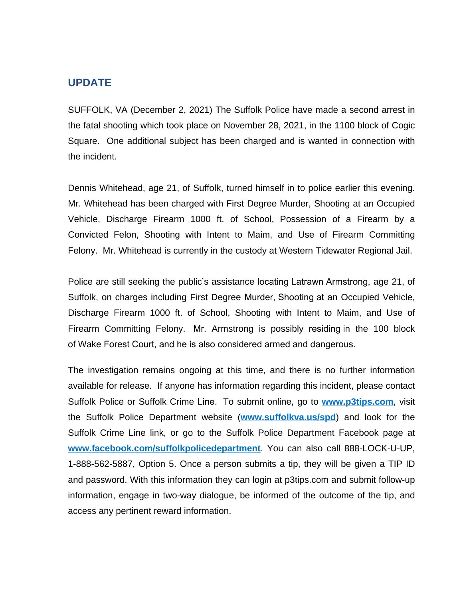### **UPDATE**

SUFFOLK, VA (December 2, 2021) The Suffolk Police have made a second arrest in the fatal shooting which took place on November 28, 2021, in the 1100 block of Cogic Square. One additional subject has been charged and is wanted in connection with the incident.

Dennis Whitehead, age 21, of Suffolk, turned himself in to police earlier this evening. Mr. Whitehead has been charged with First Degree Murder, Shooting at an Occupied Vehicle, Discharge Firearm 1000 ft. of School, Possession of a Firearm by a Convicted Felon, Shooting with Intent to Maim, and Use of Firearm Committing Felony. Mr. Whitehead is currently in the custody at Western Tidewater Regional Jail.

Police are still seeking the public's assistance locating Latrawn Armstrong, age 21, of Suffolk, on charges including First Degree Murder, Shooting at an Occupied Vehicle, Discharge Firearm 1000 ft. of School, Shooting with Intent to Maim, and Use of Firearm Committing Felony. Mr. Armstrong is possibly residing in the 100 block of Wake Forest Court, and he is also considered armed and dangerous.

The investigation remains ongoing at this time, and there is no further information available for release. If anyone has information regarding this incident, please contact Suffolk Police or Suffolk Crime Line. To submit online, go to **[www.p3tips.com](http://www.p3tips.com)**, visit the Suffolk Police Department website (**[www.suffolkva.us/spd](http://www.suffolkva.us/spd)**) and look for the Suffolk Crime Line link, or go to the Suffolk Police Department Facebook page at **[www.facebook.com/suffolkpolicedepartment](http://www.facebook.com/suffolkpolicedepartment)**. You can also call 888-LOCK-U-UP, 1-888-562-5887, Option 5. Once a person submits a tip, they will be given a TIP ID and password. With this information they can login at p3tips.com and submit follow-up information, engage in two-way dialogue, be informed of the outcome of the tip, and access any pertinent reward information.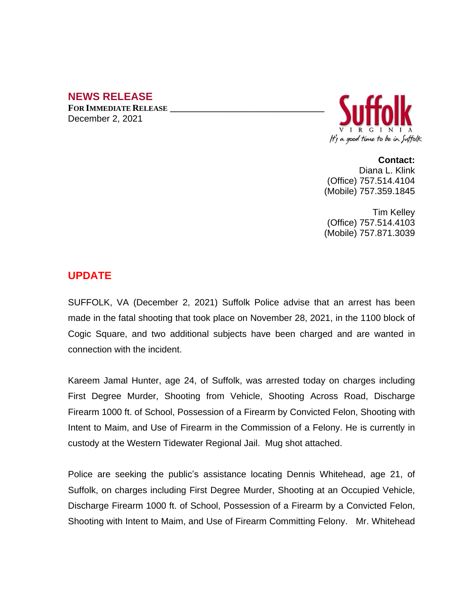## **NEWS RELEASE**

**FOR IMMEDIATE RELEASE \_\_\_\_\_\_\_\_\_\_\_\_\_\_\_\_\_\_\_\_\_\_\_\_\_\_\_\_\_\_\_\_\_\_** December 2, 2021



**Contact:** Diana L. Klink (Office) 757.514.4104 (Mobile) 757.359.1845

Tim Kelley (Office) 757.514.4103 (Mobile) 757.871.3039

## **UPDATE**

SUFFOLK, VA (December 2, 2021) Suffolk Police advise that an arrest has been made in the fatal shooting that took place on November 28, 2021, in the 1100 block of Cogic Square, and two additional subjects have been charged and are wanted in connection with the incident.

Kareem Jamal Hunter, age 24, of Suffolk, was arrested today on charges including First Degree Murder, Shooting from Vehicle, Shooting Across Road, Discharge Firearm 1000 ft. of School, Possession of a Firearm by Convicted Felon, Shooting with Intent to Maim, and Use of Firearm in the Commission of a Felony. He is currently in custody at the Western Tidewater Regional Jail. Mug shot attached.

Police are seeking the public's assistance locating Dennis Whitehead, age 21, of Suffolk, on charges including First Degree Murder, Shooting at an Occupied Vehicle, Discharge Firearm 1000 ft. of School, Possession of a Firearm by a Convicted Felon, Shooting with Intent to Maim, and Use of Firearm Committing Felony. Mr. Whitehead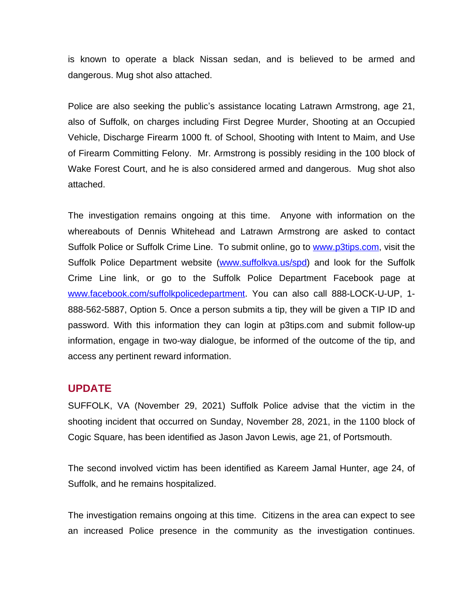is known to operate a black Nissan sedan, and is believed to be armed and dangerous. Mug shot also attached.

Police are also seeking the public's assistance locating Latrawn Armstrong, age 21, also of Suffolk, on charges including First Degree Murder, Shooting at an Occupied Vehicle, Discharge Firearm 1000 ft. of School, Shooting with Intent to Maim, and Use of Firearm Committing Felony. Mr. Armstrong is possibly residing in the 100 block of Wake Forest Court, and he is also considered armed and dangerous. Mug shot also attached.

The investigation remains ongoing at this time. Anyone with information on the whereabouts of Dennis Whitehead and Latrawn Armstrong are asked to contact Suffolk Police or Suffolk Crime Line. To submit online, go to [www.p3tips.com](http://www.p3tips.com), visit the Suffolk Police Department website ([www.suffolkva.us/spd\)](http://www.suffolkva.us/spd) and look for the Suffolk Crime Line link, or go to the Suffolk Police Department Facebook page at [www.facebook.com/suffolkpolicedepartment](http://www.facebook.com/suffolkpolicedepartment). You can also call 888-LOCK-U-UP, 1-888-562-5887, Option 5. Once a person submits a tip, they will be given a TIP ID and password. With this information they can login at p3tips.com and submit follow-up information, engage in two-way dialogue, be informed of the outcome of the tip, and access any pertinent reward information.

### **UPDATE**

SUFFOLK, VA (November 29, 2021) Suffolk Police advise that the victim in the shooting incident that occurred on Sunday, November 28, 2021, in the 1100 block of Cogic Square, has been identified as Jason Javon Lewis, age 21, of Portsmouth.

The second involved victim has been identified as Kareem Jamal Hunter, age 24, of Suffolk, and he remains hospitalized.

The investigation remains ongoing at this time. Citizens in the area can expect to see an increased Police presence in the community as the investigation continues.